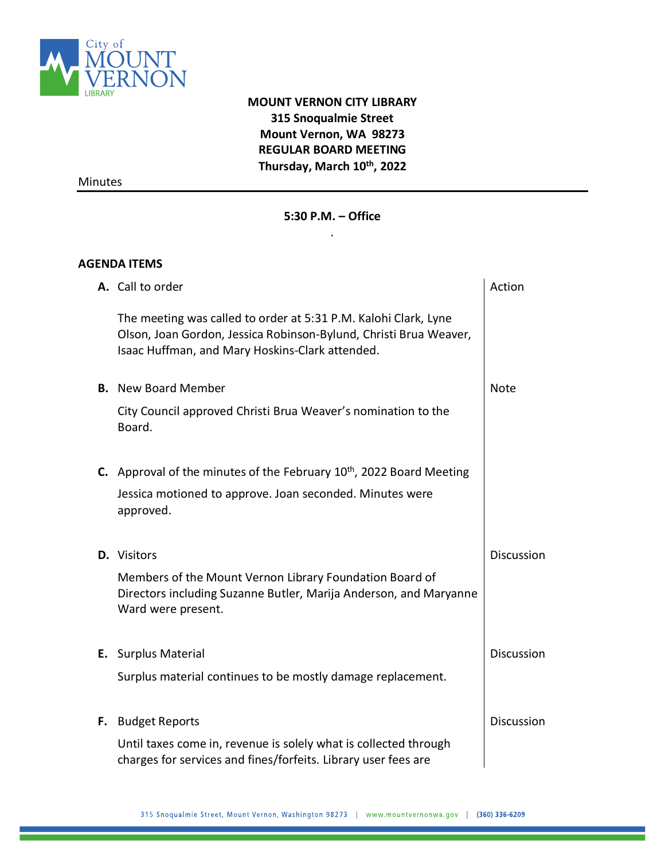

# **MOUNT VERNON CITY LIBRARY 315 Snoqualmie Street Mount Vernon, WA 98273 REGULAR BOARD MEETING Thursday, March 10 th, 2022**

Minutes

## **5:30 P.M. – Office**  .

## **AGENDA ITEMS**

| A. Call to order                                                                                                                                                                        | Action            |
|-----------------------------------------------------------------------------------------------------------------------------------------------------------------------------------------|-------------------|
| The meeting was called to order at 5:31 P.M. Kalohi Clark, Lyne<br>Olson, Joan Gordon, Jessica Robinson-Bylund, Christi Brua Weaver,<br>Isaac Huffman, and Mary Hoskins-Clark attended. |                   |
| <b>B.</b> New Board Member                                                                                                                                                              | <b>Note</b>       |
| City Council approved Christi Brua Weaver's nomination to the<br>Board.                                                                                                                 |                   |
| <b>C.</b> Approval of the minutes of the February $10th$ , 2022 Board Meeting                                                                                                           |                   |
| Jessica motioned to approve. Joan seconded. Minutes were<br>approved.                                                                                                                   |                   |
| <b>D.</b> Visitors                                                                                                                                                                      | <b>Discussion</b> |
| Members of the Mount Vernon Library Foundation Board of<br>Directors including Suzanne Butler, Marija Anderson, and Maryanne<br>Ward were present.                                      |                   |
| E. Surplus Material                                                                                                                                                                     | <b>Discussion</b> |
| Surplus material continues to be mostly damage replacement.                                                                                                                             |                   |
| <b>F.</b> Budget Reports                                                                                                                                                                | <b>Discussion</b> |
| Until taxes come in, revenue is solely what is collected through<br>charges for services and fines/forfeits. Library user fees are                                                      |                   |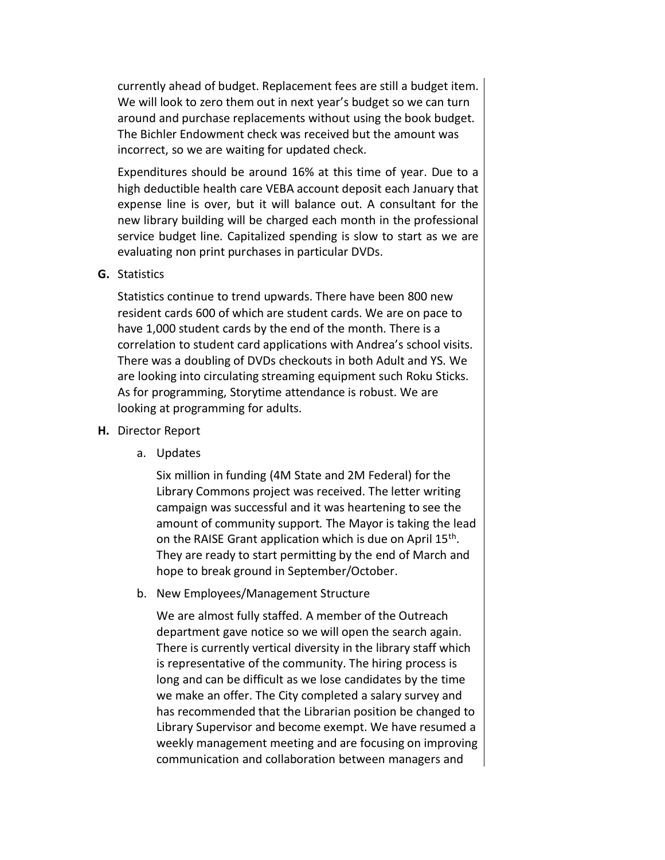currently ahead of budget. Replacement fees are still a budget item. We will look to zero them out in next year's budget so we can turn around and purchase replacements without using the book budget. The Bichler Endowment check was received but the amount was incorrect, so we are waiting for updated check.

Expenditures should be around 16% at this time of year. Due to a high deductible health care VEBA account deposit each January that expense line is over, but it will balance out. A consultant for the new library building will be charged each month in the professional service budget line. Capitalized spending is slow to start as we are evaluating non print purchases in particular DVDs.

**G.** Statistics

Statistics continue to trend upwards. There have been 800 new resident cards 600 of which are student cards. We are on pace to have 1,000 student cards by the end of the month. There is a correlation to student card applications with Andrea's school visits. There was a doubling of DVDs checkouts in both Adult and YS. We are looking into circulating streaming equipment such Roku Sticks. As for programming, Storytime attendance is robust. We are looking at programming for adults.

- **H.** Director Report
	- a. Updates

Six million in funding (4M State and 2M Federal) for the Library Commons project was received. The letter writing campaign was successful and it was heartening to see the amount of community support. The Mayor is taking the lead on the RAISE Grant application which is due on April 15<sup>th</sup>. They are ready to start permitting by the end of March and hope to break ground in September/October.

b. New Employees/Management Structure

We are almost fully staffed. A member of the Outreach department gave notice so we will open the search again. There is currently vertical diversity in the library staff which is representative of the community. The hiring process is long and can be difficult as we lose candidates by the time we make an offer. The City completed a salary survey and has recommended that the Librarian position be changed to Library Supervisor and become exempt. We have resumed a weekly management meeting and are focusing on improving communication and collaboration between managers and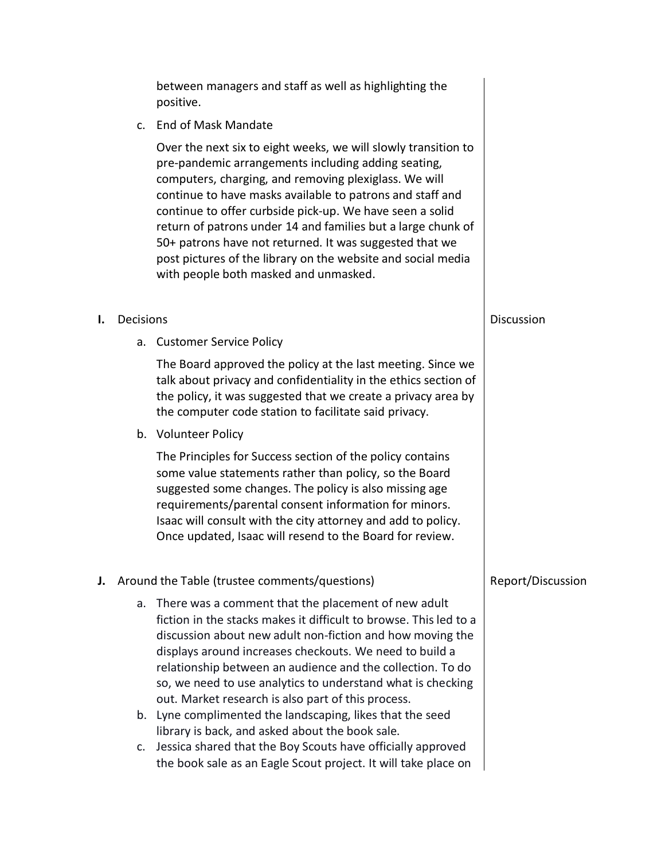between managers and staff as well as highlighting the positive.

c. End of Mask Mandate

Over the next six to eight weeks, we will slowly transition to pre-pandemic arrangements including adding seating, computers, charging, and removing plexiglass. We will continue to have masks available to patrons and staff and continue to offer curbside pick-up. We have seen a solid return of patrons under 14 and families but a large chunk of 50+ patrons have not returned. It was suggested that we post pictures of the library on the website and social media with people both masked and unmasked.

- **I.** Decisions
	- a. Customer Service Policy

The Board approved the policy at the last meeting. Since we talk about privacy and confidentiality in the ethics section of the policy, it was suggested that we create a privacy area by the computer code station to facilitate said privacy.

b. Volunteer Policy

The Principles for Success section of the policy contains some value statements rather than policy, so the Board suggested some changes. The policy is also missing age requirements/parental consent information for minors. Isaac will consult with the city attorney and add to policy. Once updated, Isaac will resend to the Board for review.

- **J.** Around the Table (trustee comments/questions)
	- a. There was a comment that the placement of new adult fiction in the stacks makes it difficult to browse. This led to a discussion about new adult non-fiction and how moving the displays around increases checkouts. We need to build a relationship between an audience and the collection. To do so, we need to use analytics to understand what is checking out. Market research is also part of this process.
	- b. Lyne complimented the landscaping, likes that the seed library is back, and asked about the book sale.
	- c. Jessica shared that the Boy Scouts have officially approved the book sale as an Eagle Scout project. It will take place on

### Report/Discussion

### **Discussion**